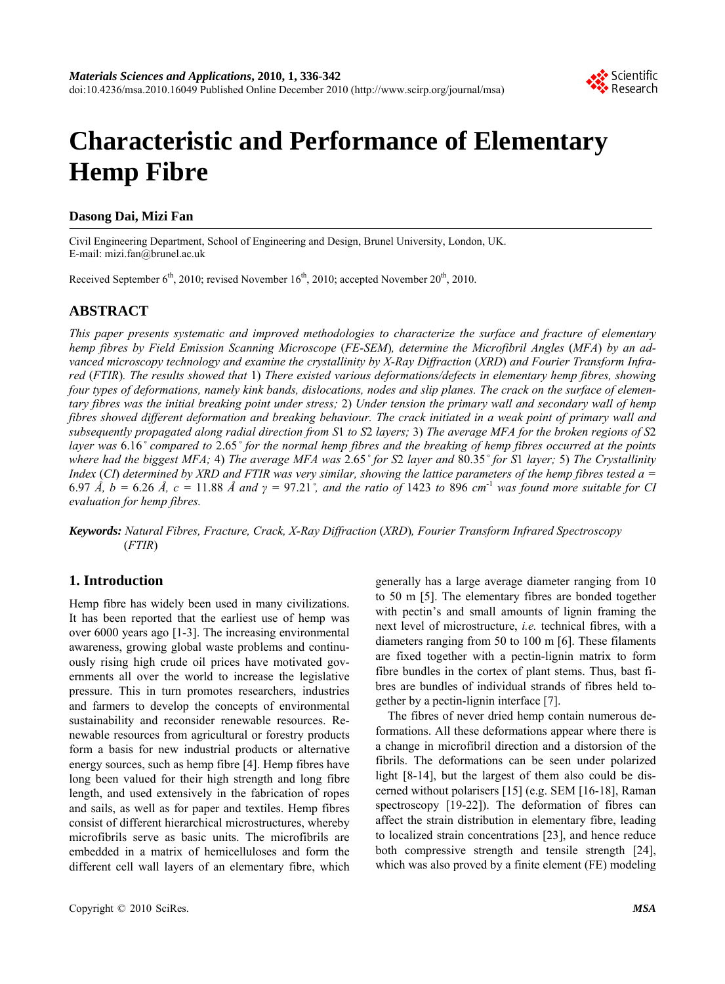

# **Characteristic and Performance of Elementary Hemp Fibre**

# **Dasong Dai, Mizi Fan**

Civil Engineering Department, School of Engineering and Design, Brunel University, London, UK. E-mail: mizi.fan@brunel.ac.uk

Received September  $6<sup>th</sup>$ , 2010; revised November 1 $6<sup>th</sup>$ , 2010; accepted November 20<sup>th</sup>, 2010.

# **ABSTRACT**

*This paper presents systematic and improved methodologies to characterize the surface and fracture of elementary hemp fibres by Field Emission Scanning Microscope* (*FE-SEM*)*, determine the Microfibril Angles* (*MFA*) *by an advanced microscopy technology and examine the crystallinity by X-Ray Diffraction* (*XRD*) *and Fourier Transform Infrared* (*FTIR*)*. The results showed that* 1) *There existed various deformations/defects in elementary hemp fibres, showing four types of deformations, namely kink bands, dislocations, nodes and slip planes. The crack on the surface of elementary fibres was the initial breaking point under stress;* 2) *Under tension the primary wall and secondary wall of hemp fibres showed different deformation and breaking behaviour. The crack initiated in a weak point of primary wall and subsequently propagated along radial direction from S*1 *to S*2 *layers;* 3) *The average MFA for the broken regions of S*2 *layer was* 6.16*˚ compared to* 2.65*˚ for the normal hemp fibres and the breaking of hemp fibres occurred at the points where had the biggest MFA;* 4) *The average MFA was* 2.65*˚ for S*2 *layer and* 80.35*˚ for S*1 *layer;* 5) *The Crystallinity Index* (*CI*) *determined by XRD and FTIR was very similar, showing the lattice parameters of the hemp fibres tested a =*  6.97  $\AA$ ,  $b = 6.26 \ \AA$ ,  $c = 11.88 \ \AA$  and  $\gamma = 97.21^{\circ}$ , and the ratio of 1423 to 896 cm<sup>-1</sup> was found more suitable for CI *evaluation for hemp fibres.* 

*Keywords: Natural Fibres, Fracture, Crack, X-Ray Diffraction* (*XRD*)*, Fourier Transform Infrared Spectroscopy* (*FTIR*)

# **1. Introduction**

Hemp fibre has widely been used in many civilizations. It has been reported that the earliest use of hemp was over 6000 years ago [1-3]. The increasing environmental awareness, growing global waste problems and continuously rising high crude oil prices have motivated governments all over the world to increase the legislative pressure. This in turn promotes researchers, industries and farmers to develop the concepts of environmental sustainability and reconsider renewable resources. Renewable resources from agricultural or forestry products form a basis for new industrial products or alternative energy sources, such as hemp fibre [4]. Hemp fibres have long been valued for their high strength and long fibre length, and used extensively in the fabrication of ropes and sails, as well as for paper and textiles. Hemp fibres consist of different hierarchical microstructures, whereby microfibrils serve as basic units. The microfibrils are embedded in a matrix of hemicelluloses and form the different cell wall layers of an elementary fibre, which

generally has a large average diameter ranging from 10 to 50 m [5]. The elementary fibres are bonded together with pectin's and small amounts of lignin framing the next level of microstructure, *i.e.* technical fibres, with a diameters ranging from 50 to 100 m [6]. These filaments are fixed together with a pectin-lignin matrix to form fibre bundles in the cortex of plant stems. Thus, bast fibres are bundles of individual strands of fibres held together by a pectin-lignin interface [7].

The fibres of never dried hemp contain numerous deformations. All these deformations appear where there is a change in microfibril direction and a distorsion of the fibrils. The deformations can be seen under polarized light [8-14], but the largest of them also could be discerned without polarisers [15] (e.g. SEM [16-18], Raman spectroscopy [19-22]). The deformation of fibres can affect the strain distribution in elementary fibre, leading to localized strain concentrations [23], and hence reduce both compressive strength and tensile strength [24], which was also proved by a finite element (FE) modeling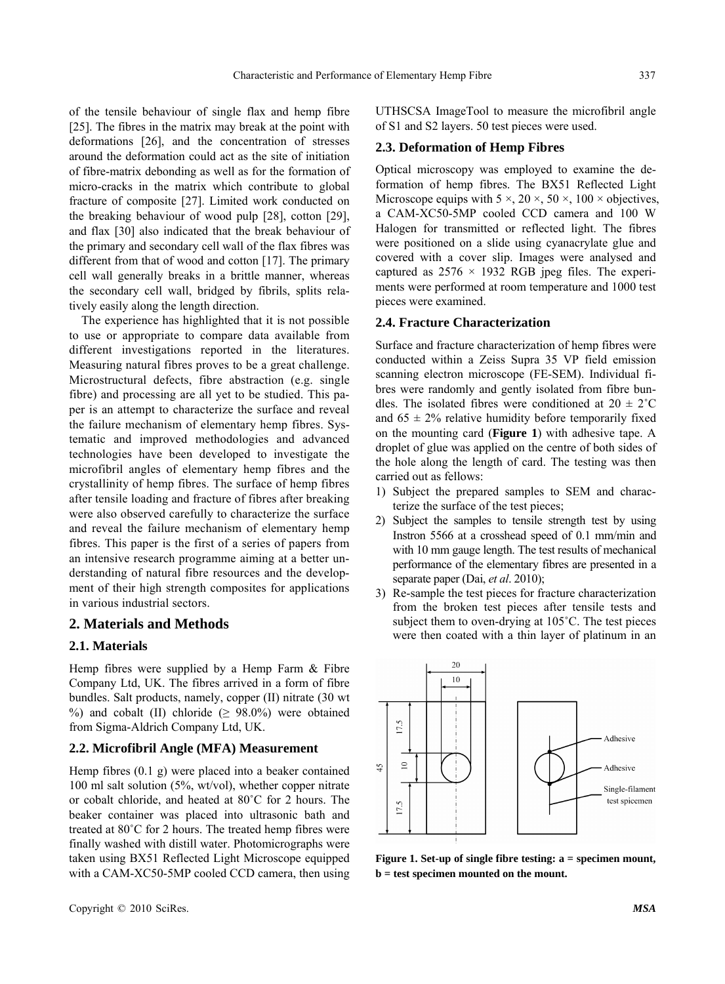of the tensile behaviour of single flax and hemp fibre [25]. The fibres in the matrix may break at the point with deformations [26], and the concentration of stresses around the deformation could act as the site of initiation of fibre-matrix debonding as well as for the formation of micro-cracks in the matrix which contribute to global fracture of composite [27]. Limited work conducted on the breaking behaviour of wood pulp [28], cotton [29], and flax [30] also indicated that the break behaviour of the primary and secondary cell wall of the flax fibres was different from that of wood and cotton [17]. The primary cell wall generally breaks in a brittle manner, whereas the secondary cell wall, bridged by fibrils, splits relatively easily along the length direction.

The experience has highlighted that it is not possible to use or appropriate to compare data available from different investigations reported in the literatures. Measuring natural fibres proves to be a great challenge. Microstructural defects, fibre abstraction (e.g. single fibre) and processing are all yet to be studied. This paper is an attempt to characterize the surface and reveal the failure mechanism of elementary hemp fibres. Systematic and improved methodologies and advanced technologies have been developed to investigate the microfibril angles of elementary hemp fibres and the crystallinity of hemp fibres. The surface of hemp fibres after tensile loading and fracture of fibres after breaking were also observed carefully to characterize the surface and reveal the failure mechanism of elementary hemp fibres. This paper is the first of a series of papers from an intensive research programme aiming at a better understanding of natural fibre resources and the development of their high strength composites for applications in various industrial sectors.

# **2. Materials and Methods**

# **2.1. Materials**

Hemp fibres were supplied by a Hemp Farm & Fibre Company Ltd, UK. The fibres arrived in a form of fibre bundles. Salt products, namely, copper (II) nitrate (30 wt %) and cobalt (II) chloride ( $\geq$  98.0%) were obtained from Sigma-Aldrich Company Ltd, UK.

## **2.2. Microfibril Angle (MFA) Measurement**

Hemp fibres (0.1 g) were placed into a beaker contained 100 ml salt solution (5%, wt/vol), whether copper nitrate or cobalt chloride, and heated at 80˚C for 2 hours. The beaker container was placed into ultrasonic bath and treated at 80˚C for 2 hours. The treated hemp fibres were finally washed with distill water. Photomicrographs were taken using BX51 Reflected Light Microscope equipped with a CAM-XC50-5MP cooled CCD camera, then using

UTHSCSA ImageTool to measure the microfibril angle of S1 and S2 layers. 50 test pieces were used.

#### **2.3. Deformation of Hemp Fibres**

Optical microscopy was employed to examine the deformation of hemp fibres. The BX51 Reflected Light Microscope equips with  $5 \times$ ,  $20 \times$ ,  $50 \times$ ,  $100 \times$  objectives, a CAM-XC50-5MP cooled CCD camera and 100 W Halogen for transmitted or reflected light. The fibres were positioned on a slide using cyanacrylate glue and covered with a cover slip. Images were analysed and captured as  $2576 \times 1932$  RGB jpeg files. The experiments were performed at room temperature and 1000 test pieces were examined.

#### **2.4. Fracture Characterization**

Surface and fracture characterization of hemp fibres were conducted within a Zeiss Supra 35 VP field emission scanning electron microscope (FE-SEM). Individual fibres were randomly and gently isolated from fibre bundles. The isolated fibres were conditioned at  $20 \pm 2^{\circ}$ C and  $65 \pm 2\%$  relative humidity before temporarily fixed on the mounting card (**Figure 1**) with adhesive tape. A droplet of glue was applied on the centre of both sides of the hole along the length of card. The testing was then carried out as fellows:

- 1) Subject the prepared samples to SEM and characterize the surface of the test pieces;
- 2) Subject the samples to tensile strength test by using Instron 5566 at a crosshead speed of 0.1 mm/min and with 10 mm gauge length. The test results of mechanical performance of the elementary fibres are presented in a separate paper (Dai, *et al*. 2010);
- 3) Re-sample the test pieces for fracture characterization from the broken test pieces after tensile tests and subject them to oven-drying at 105˚C. The test pieces were then coated with a thin layer of platinum in an



**Figure 1. Set-up of single fibre testing: a = specimen mount, b = test specimen mounted on the mount.**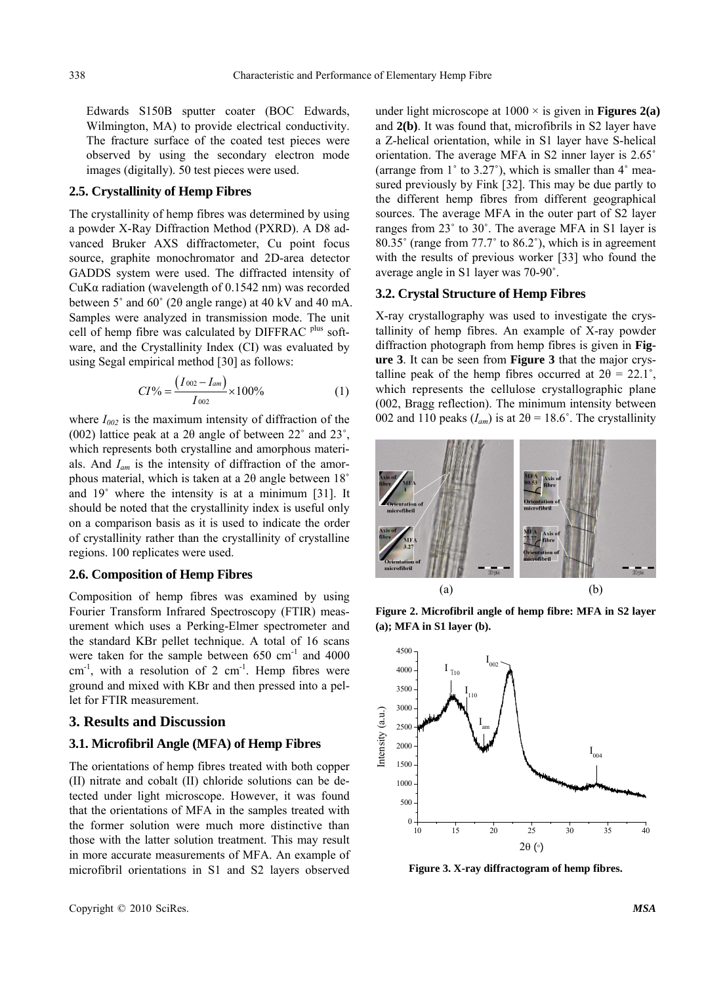Edwards S150B sputter coater (BOC Edwards, Wilmington, MA) to provide electrical conductivity. The fracture surface of the coated test pieces were observed by using the secondary electron mode images (digitally). 50 test pieces were used.

# **2.5. Crystallinity of Hemp Fibres**

The crystallinity of hemp fibres was determined by using a powder X-Ray Diffraction Method (PXRD). A D8 advanced Bruker AXS diffractometer, Cu point focus source, graphite monochromator and 2D-area detector GADDS system were used. The diffracted intensity of CuKα radiation (wavelength of 0.1542 nm) was recorded between 5˚ and 60˚ (2θ angle range) at 40 kV and 40 mA. Samples were analyzed in transmission mode. The unit cell of hemp fibre was calculated by DIFFRAC <sup>plus</sup> software, and the Crystallinity Index (CI) was evaluated by using Segal empirical method [30] as follows:

$$
CI\% = \frac{(I_{002} - I_{am})}{I_{002}} \times 100\%
$$
 (1)

where  $I_{002}$  is the maximum intensity of diffraction of the (002) lattice peak at a 2 $\theta$  angle of between 22° and 23°, which represents both crystalline and amorphous materials. And *Iam* is the intensity of diffraction of the amorphous material, which is taken at a 2θ angle between 18˚ and 19˚ where the intensity is at a minimum [31]. It should be noted that the crystallinity index is useful only on a comparison basis as it is used to indicate the order of crystallinity rather than the crystallinity of crystalline regions. 100 replicates were used.

#### **2.6. Composition of Hemp Fibres**

Composition of hemp fibres was examined by using Fourier Transform Infrared Spectroscopy (FTIR) measurement which uses a Perking-Elmer spectrometer and the standard KBr pellet technique. A total of 16 scans were taken for the sample between  $650 \text{ cm}^{-1}$  and  $4000$  $cm^{-1}$ , with a resolution of 2  $cm^{-1}$ . Hemp fibres were ground and mixed with KBr and then pressed into a pellet for FTIR measurement.

#### **3. Results and Discussion**

#### **3.1. Microfibril Angle (MFA) of Hemp Fibres**

The orientations of hemp fibres treated with both copper (II) nitrate and cobalt (II) chloride solutions can be detected under light microscope. However, it was found that the orientations of MFA in the samples treated with the former solution were much more distinctive than those with the latter solution treatment. This may result in more accurate measurements of MFA. An example of microfibril orientations in S1 and S2 layers observed

under light microscope at  $1000 \times$  is given in **Figures 2(a)** and **2(b)**. It was found that, microfibrils in S2 layer have a Z-helical orientation, while in S1 layer have S-helical orientation. The average MFA in S2 inner layer is 2.65˚ (arrange from  $1^\circ$  to 3.27°), which is smaller than  $4^\circ$  measured previously by Fink [32]. This may be due partly to the different hemp fibres from different geographical sources. The average MFA in the outer part of S2 layer ranges from 23˚ to 30˚. The average MFA in S1 layer is 80.35˚ (range from 77.7˚ to 86.2˚), which is in agreement with the results of previous worker [33] who found the average angle in S1 layer was 70-90˚.

#### **3.2. Crystal Structure of Hemp Fibres**

X-ray crystallography was used to investigate the crystallinity of hemp fibres. An example of X-ray powder diffraction photograph from hemp fibres is given in **Figure 3**. It can be seen from **Figure 3** that the major crystalline peak of the hemp fibres occurred at  $2\theta = 22.1^{\circ}$ , which represents the cellulose crystallographic plane (002, Bragg reflection). The minimum intensity between 002 and 110 peaks  $(I_{am})$  is at  $2\theta = 18.6^{\circ}$ . The crystallinity



**Figure 2. Microfibril angle of hemp fibre: MFA in S2 layer (a); MFA in S1 layer (b).**



**Figure 3. X-ray diffractogram of hemp fibres.**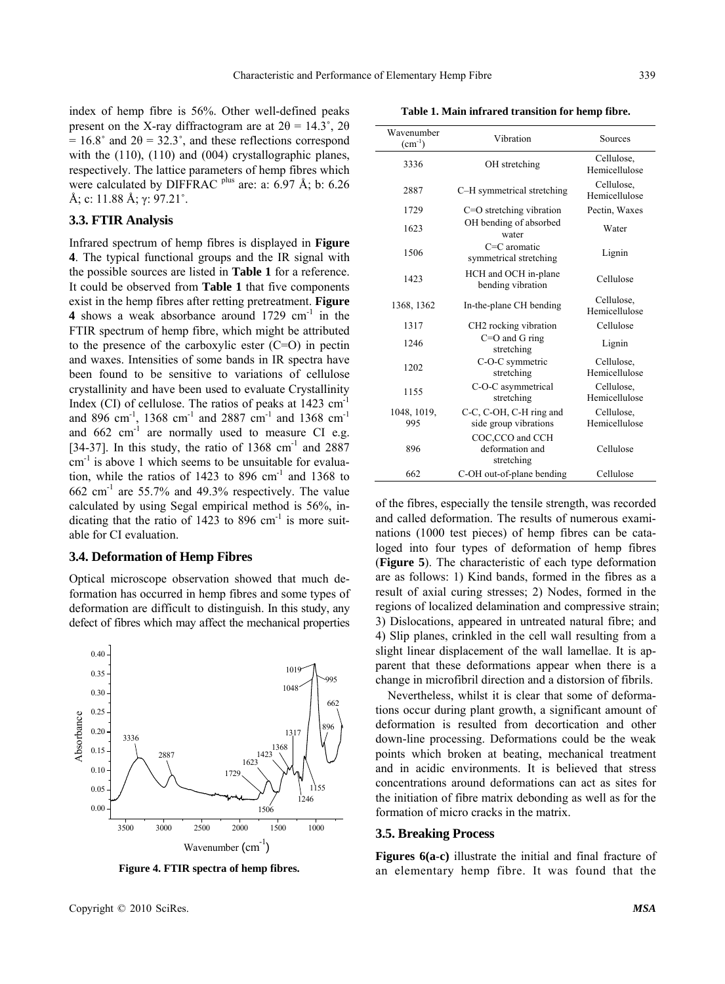0.40

Wavenumber

**Table 1. Main infrared transition for hemp fibre.** 

 $(cm<sup>-1</sup>)$  Vibration Sources 3336 OH stretching Cellulose,

2887 C–H symmetrical stretching Cellulose,

1729 C=O stretching vibration Pectin, Waxes

water Water

symmetrical stretching Lignin

1623 OH bending of absorbed<br>water

 $C=C$  aromatic  $C=C$ 

| index of hemp fibre is 56%. Other well-defined peaks                             |
|----------------------------------------------------------------------------------|
| present on the X-ray diffractogram are at $2\theta = 14.3^{\circ}$ , $2\theta$   |
| $= 16.8^{\circ}$ and $2\theta = 32.3^{\circ}$ , and these reflections correspond |
| with the $(110)$ , $(110)$ and $(004)$ crystallographic planes,                  |
| respectively. The lattice parameters of hemp fibres which                        |
| were calculated by DIFFRAC <sup>plus</sup> are: a: 6.97 Å; b: 6.26               |
| Å; c: 11.88 Å; γ: 97.21°.                                                        |

#### **3.3. FTIR Analysis**

Infrared spectrum of hemp fibres is displayed in **Figure 4**. The typical functional groups and the IR signal with the possible sources are listed in **Table 1** for a reference. It could be observed from **Table 1** that five components exist in the hemp fibres after retting pretreatment. **Figure 4** shows a weak absorbance around 1729 cm<sup>-1</sup> in the FTIR spectrum of hemp fibre, which might be attributed to the presence of the carboxylic ester (C=O) in pectin and waxes. Intensities of some bands in IR spectra have been found to be sensitive to variations of cellulose crystallinity and have been used to evaluate Crystallinity Index (CI) of cellulose. The ratios of peaks at 1423 cm<sup>-1</sup> and 896 cm<sup>-1</sup>, 1368 cm<sup>-1</sup> and 2887 cm<sup>-1</sup> and 1368 cm<sup>-1</sup> and  $662 \text{ cm}^{-1}$  are normally used to measure CI e.g. [34-37]. In this study, the ratio of  $1368 \text{ cm}^{-1}$  and  $2887$  $cm<sup>-1</sup>$  is above 1 which seems to be unsuitable for evaluation, while the ratios of 1423 to 896 cm-1 and 1368 to  $662$  cm<sup>-1</sup> are 55.7% and 49.3% respectively. The value calculated by using Segal empirical method is 56%, indicating that the ratio of 1423 to 896 cm<sup>-1</sup> is more suitable for CI evaluation.

#### **3.4. Deformation of Hemp Fibres**

Optical microscope observation showed that much deformation has occurred in hemp fibres and some types of deformation are difficult to distinguish. In this study, any defect of fibres which may affect the mechanical properties

**Figure 4. FTIR spectra of hemp fibres.**

of the fibres, especially the tensile strength, was recorded and called deformation. The results of numerous examinations (1000 test pieces) of hemp fibres can be cataloged into four types of deformation of hemp fibres (**Figure 5**). The characteristic of each type deformation are as follows: 1) Kind bands, formed in the fibres as a result of axial curing stresses; 2) Nodes, formed in the regions of localized delamination and compressive strain; 3) Dislocations, appeared in untreated natural fibre; and 4) Slip planes, crinkled in the cell wall resulting from a slight linear displacement of the wall lamellae. It is apparent that these deformations appear when there is a change in microfibril direction and a distorsion of fibrils.

Nevertheless, whilst it is clear that some of deformations occur during plant growth, a significant amount of deformation is resulted from decortication and other down-line processing. Deformations could be the weak points which broken at beating, mechanical treatment and in acidic environments. It is believed that stress concentrations around deformations can act as sites for the initiation of fibre matrix debonding as well as for the formation of micro cracks in the matrix.

#### **3.5. Breaking Process**

**Figures 6(a**-**c)** illustrate the initial and final fracture of an elementary hemp fibre. It was found that the

1019 0.35 995 1048 0.30 662 0.25 Absorbance Absorbance 896 0.20 1317 3336 1368 0.15 2887 1423 1623 0.10 1729 1155 0.05 1246 0.00 1506 3500 3000 2500 2000 1500 1000 Wavenumber  $(cm<sup>-1</sup>)$ 



Hemicellulose

Hemicellulose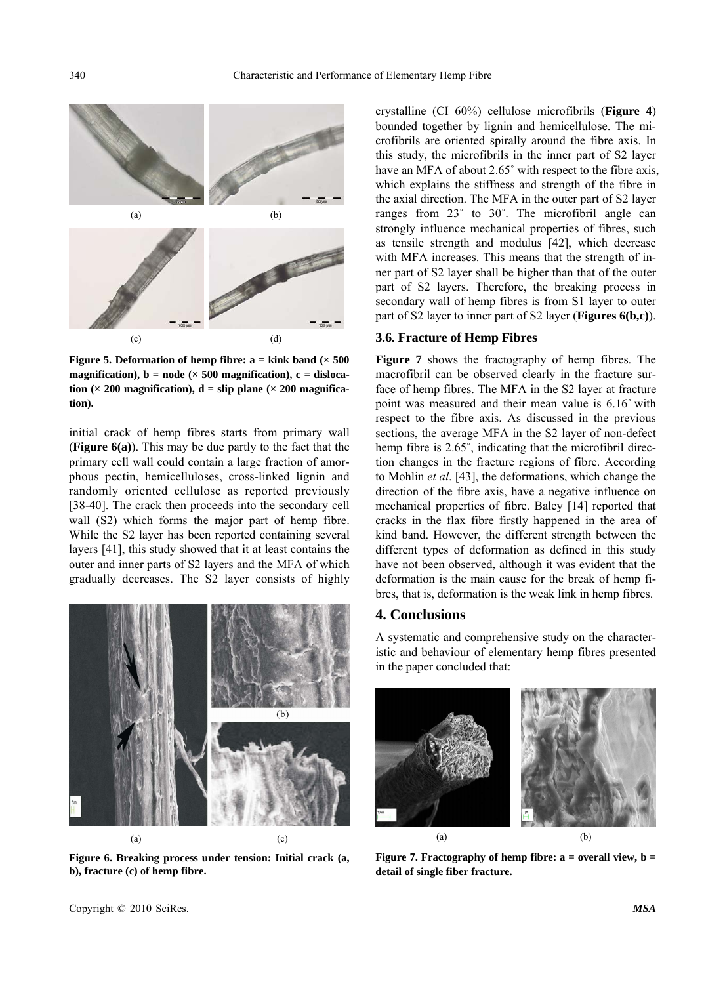

**Figure 5. Deformation of hemp fibre:**  $a = kink$  **band (** $\times 500$ **)** magnification),  $b = node \times 500$  magnification),  $c = dislocal$ tion ( $\times$  200 magnification),  $d =$  slip plane ( $\times$  200 magnifica**tion).** 

initial crack of hemp fibres starts from primary wall (**Figure 6(a)**). This may be due partly to the fact that the primary cell wall could contain a large fraction of amorphous pectin, hemicelluloses, cross-linked lignin and randomly oriented cellulose as reported previously [38-40]. The crack then proceeds into the secondary cell wall (S2) which forms the major part of hemp fibre. While the S2 layer has been reported containing several layers [41], this study showed that it at least contains the outer and inner parts of S2 layers and the MFA of which gradually decreases. The S2 layer consists of highly



**Figure 6. Breaking process under tension: Initial crack (a, b), fracture (c) of hemp fibre.**

crystalline (CI 60%) cellulose microfibrils (**Figure 4**) bounded together by lignin and hemicellulose. The microfibrils are oriented spirally around the fibre axis. In this study, the microfibrils in the inner part of S2 layer have an MFA of about 2.65° with respect to the fibre axis, which explains the stiffness and strength of the fibre in the axial direction. The MFA in the outer part of S2 layer ranges from 23˚ to 30˚. The microfibril angle can strongly influence mechanical properties of fibres, such as tensile strength and modulus [42], which decrease with MFA increases. This means that the strength of inner part of S2 layer shall be higher than that of the outer part of S2 layers. Therefore, the breaking process in secondary wall of hemp fibres is from S1 layer to outer part of S2 layer to inner part of S2 layer (**Figures 6(b,c)**).

## **3.6. Fracture of Hemp Fibres**

**Figure 7** shows the fractography of hemp fibres. The macrofibril can be observed clearly in the fracture surface of hemp fibres. The MFA in the S2 layer at fracture point was measured and their mean value is 6.16˚ with respect to the fibre axis. As discussed in the previous sections, the average MFA in the S2 layer of non-defect hemp fibre is 2.65°, indicating that the microfibril direction changes in the fracture regions of fibre. According to Mohlin *et al*. [43], the deformations, which change the direction of the fibre axis, have a negative influence on mechanical properties of fibre. Baley [14] reported that cracks in the flax fibre firstly happened in the area of kind band. However, the different strength between the different types of deformation as defined in this study have not been observed, although it was evident that the deformation is the main cause for the break of hemp fibres, that is, deformation is the weak link in hemp fibres.

#### **4. Conclusions**

A systematic and comprehensive study on the characteristic and behaviour of elementary hemp fibres presented in the paper concluded that:



**Figure 7. Fractography of hemp fibre: a = overall view, b = detail of single fiber fracture.**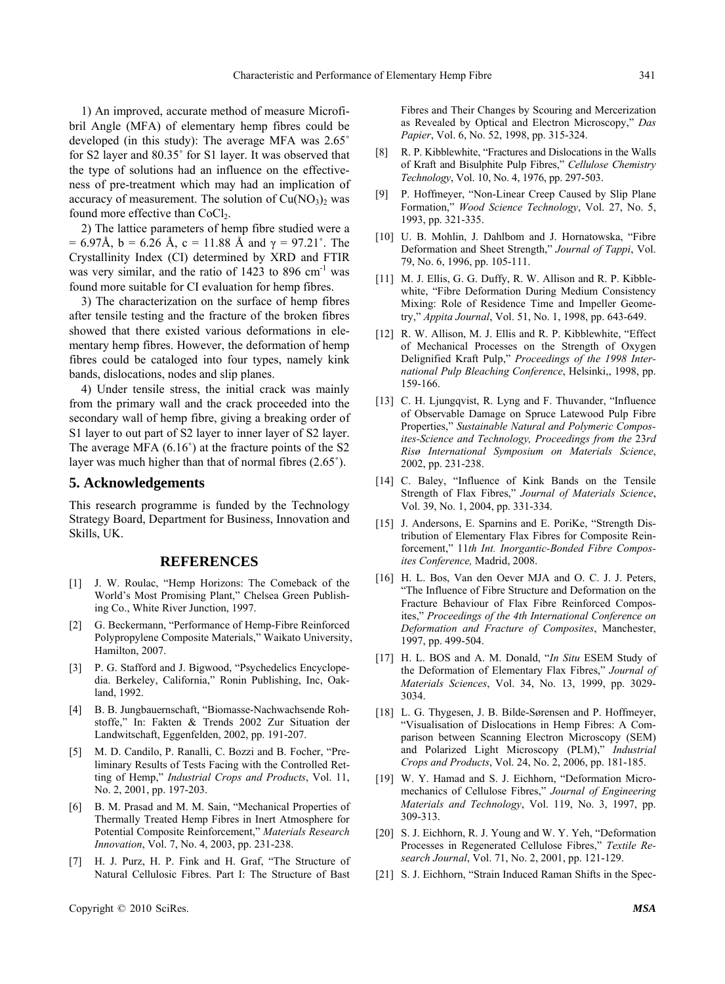1) An improved, accurate method of measure Microfibril Angle (MFA) of elementary hemp fibres could be developed (in this study): The average MFA was 2.65˚ for S2 layer and 80.35˚ for S1 layer. It was observed that the type of solutions had an influence on the effectiveness of pre-treatment which may had an implication of accuracy of measurement. The solution of  $Cu(NO<sub>3</sub>)<sub>2</sub>$  was found more effective than CoCl<sub>2</sub>.

2) The lattice parameters of hemp fibre studied were a = 6.97Å, b = 6.26 Å, c = 11.88 Å and  $\gamma$  = 97.21°. The Crystallinity Index (CI) determined by XRD and FTIR was very similar, and the ratio of  $1423$  to 896 cm<sup>-1</sup> was found more suitable for CI evaluation for hemp fibres.

3) The characterization on the surface of hemp fibres after tensile testing and the fracture of the broken fibres showed that there existed various deformations in elementary hemp fibres. However, the deformation of hemp fibres could be cataloged into four types, namely kink bands, dislocations, nodes and slip planes.

4) Under tensile stress, the initial crack was mainly from the primary wall and the crack proceeded into the secondary wall of hemp fibre, giving a breaking order of S1 layer to out part of S2 layer to inner layer of S2 layer. The average MFA  $(6.16^{\circ})$  at the fracture points of the S2 layer was much higher than that of normal fibres (2.65˚).

### **5. Acknowledgements**

This research programme is funded by the Technology Strategy Board, Department for Business, Innovation and Skills, UK.

# **REFERENCES**

- [1] J. W. Roulac, "Hemp Horizons: The Comeback of the World's Most Promising Plant," Chelsea Green Publishing Co., White River Junction, 1997.
- [2] G. Beckermann, "Performance of Hemp-Fibre Reinforced Polypropylene Composite Materials," Waikato University, Hamilton, 2007.
- [3] [P. G. Stafford](http://www.google.com.hk/search?hl=zh-CN&safe=strict&sa=G&tbo=1&tbs=bks:1&q=inauthor:%22Peter+G.+Stafford%22&ei=Q_qDTPSjO4P58AbP_vSMAg&ved=0CC8Q9Ag) and [J. Bigwood](http://www.google.com.hk/search?hl=zh-CN&safe=strict&sa=G&tbo=1&tbs=bks:1&q=inauthor:%22Jeremy+Bigwood%22&ei=Q_qDTPSjO4P58AbP_vSMAg&ved=0CDAQ9Ag), "Psychedelics Encyclopedia. Berkeley, California," Ronin Publishing, Inc, Oakland, 1992.
- [4] B. B. Jungbauernschaft, "Biomasse-Nachwachsende Rohstoffe," In: Fakten & Trends 2002 Zur Situation der Landwitschaft, Eggenfelden, 2002, pp. 191-207.
- [5] M. D. Candilo, P. Ranalli, C. Bozzi and B. Focher, "Preliminary Results of Tests Facing with the Controlled Retting of Hemp," *[Industrial Crops and Products](http://www.sciencedirect.com/science/journal/09266690)*, Vol. [11,](http://www.sciencedirect.com/science?_ob=PublicationURL&_tockey=%23TOC%235051%232000%23999889997%23174556%23FLA%23&_cdi=5051&_pubType=J&view=c&_auth=y&_acct=C000050221&_version=1&_urlVersion=0&_userid=10&md5=642ec5ed1655786878c5c3964325ffab)  [No. 2, 2001,](http://www.sciencedirect.com/science?_ob=PublicationURL&_tockey=%23TOC%235051%232000%23999889997%23174556%23FLA%23&_cdi=5051&_pubType=J&view=c&_auth=y&_acct=C000050221&_version=1&_urlVersion=0&_userid=10&md5=642ec5ed1655786878c5c3964325ffab) pp. 197-203.
- [6] B. M. Prasad and M. M. Sain, "Mechanical Properties of Thermally Treated Hemp Fibres in Inert Atmosphere for Potential Composite Reinforcement," *Materials Research Innovation*, Vol. 7, No. 4, 2003, pp. 231-238.
- [7] H. J. Purz, H. P. Fink and H. Graf, "The Structure of Natural Cellulosic Fibres. Part I: The Structure of Bast

Copyright © 2010 SciRes. *MSA*

Fibres and Their Changes by Scouring and Mercerization as Revealed by Optical and Electron Microscopy," *Das Papier*, Vol. 6, No. 52, 1998, pp. 315-324.

- [8] R. P. Kibblewhite, "Fractures and Dislocations in the Walls of Kraft and Bisulphite Pulp Fibres," *Cellulose Chemistry Technology*, Vol. 10, No. 4, 1976, pp. 297-503.
- [9] P. Hoffmeyer, "Non-Linear Creep Caused by Slip Plane Formation," *Wood Science Technology*, Vol. 27, No. 5, 1993, pp. 321-335.
- [10] U. B. Mohlin, J. Dahlbom and J. Hornatowska, "Fibre Deformation and Sheet Strength," *Journal of Tappi*, Vol. 79, No. 6, 1996, pp. 105-111.
- [11] M. J. Ellis, G. G. Duffy, R. W. Allison and R. P. Kibblewhite, "Fibre Deformation During Medium Consistency Mixing: Role of Residence Time and Impeller Geometry," *Appita Journal*, Vol. 51, No. 1, 1998, pp. 643-649.
- [12] R. W. Allison, M. J. Ellis and R. P. Kibblewhite, "Effect" of Mechanical Processes on the Strength of Oxygen Delignified Kraft Pulp," *Proceedings of the 1998 International Pulp Bleaching Conference*, Helsinki,, 1998, pp. 159-166.
- [13] C. H. Ljungqvist, R. Lyng and F. Thuvander, "Influence of Observable Damage on Spruce Latewood Pulp Fibre Properties," *Sustainable Natural and Polymeric Composites-Science and Technology, Proceedings from the* 23*rd Risø International Symposium on Materials Science*, 2002, pp. 231-238.
- [14] C. Baley, "Influence of Kink Bands on the Tensile Strength of Flax Fibres," *Journal of Materials Science*, Vol. 39, No. 1, 2004, pp. 331-334.
- [15] J. Andersons, E. Sparnins and E. PoriKe, "Strength Distribution of Elementary Flax Fibres for Composite Reinforcement," 11*th Int. Inorgantic-Bonded Fibre Composites Conference,* Madrid, 2008.
- [16] H. L. Bos, Van den Oever MJA and O. C. J. J. Peters, "The Influence of Fibre Structure and Deformation on the Fracture Behaviour of Flax Fibre Reinforced Composites," *Proceedings of the 4th International Conference on Deformation and Fracture of Composites*, Manchester, 1997, pp. 499-504.
- [17] H. L. BOS and A. M. Donald, "*In Situ* ESEM Study of the Deformation of Elementary Flax Fibres," *Journal of Materials Sciences*, Vol. 34, No. 13, 1999, pp. 3029- 3034.
- [18] L. G. Thygesen, J. B. Bilde-Sørensen and P. Hoffmeyer, "Visualisation of Dislocations in Hemp Fibres: A Comparison between Scanning Electron Microscopy (SEM) and Polarized Light Microscopy (PLM)," *Industrial Crops and Products*, Vol. 24, No. 2, 2006, pp. 181-185.
- [19] W. Y. Hamad and S. J. Eichhorn, "Deformation Micromechanics of Cellulose Fibres," *Journal of Engineering Materials and Technology*, Vol. 119, No. 3, 1997, pp. 309-313.
- [20] S. J. Eichhorn, R. J. Young and W. Y. Yeh, "Deformation Processes in Regenerated Cellulose Fibres," *Textile Research Journal*, Vol. 71, No. 2, 2001, pp. 121-129.
- [21] S. J. Eichhorn, "Strain Induced Raman Shifts in the Spec-